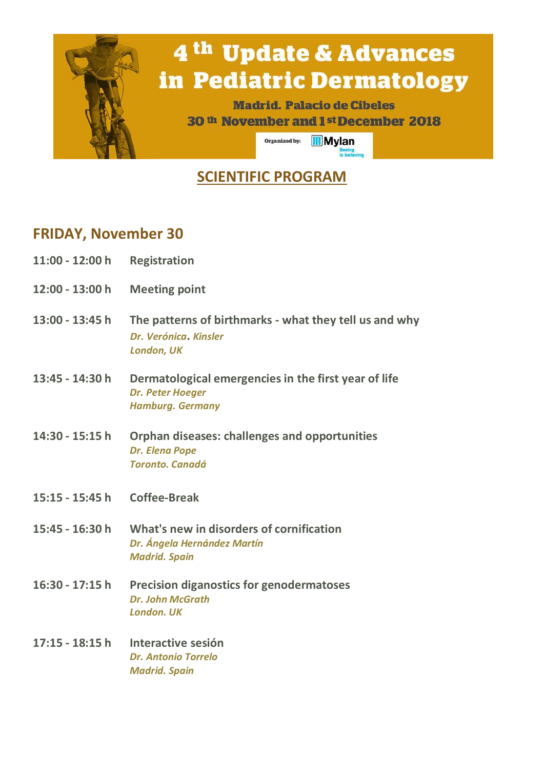

## **SCIENTIFIC PROGRAM**

## **FRIDAY, November 30**

- **11:00 - 12:00 h Registration**
- **12:00 - 13:00 h Meeting point**
- **13:00 - 13:45 h The patterns of birthmarks - what they tell us and why** *Dr. Verónica***.** *Kinsler London, UK*
- **13:45 - 14:30 h Dermatological emergencies in the first year of life** *Dr. Peter Hoeger Hamburg. Germany*
- **14:30 - 15:15 h Orphan diseases: challenges and opportunities** *Dr. Elena Pope Toronto. Canadá*
- **15:15 - 15:45 h Coffee-Break**
- **15:45 - 16:30 h What's new in disorders of cornification** *Dr. Ángela Hernández Martín Madrid. Spain*
- **16:30 - 17:15 h Precision diganostics for genodermatoses** *Dr. John McGrath London. UK*
- **17:15 - 18:15 h Interactive sesión** *Dr. Antonio Torrelo Madrid. Spain*